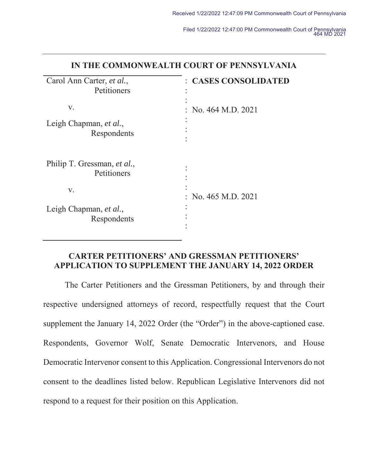| IN THE COMMONWEALTH COURT OF PENNSYLVANIA  |                         |
|--------------------------------------------|-------------------------|
| Carol Ann Carter, et al.,<br>Petitioners   | : CASES CONSOLIDATED    |
| V.                                         | : No. $464$ M.D. $2021$ |
| Leigh Chapman, et al.,<br>Respondents      |                         |
| Philip T. Gressman, et al.,<br>Petitioners |                         |
| V.                                         | : No. $465$ M.D. $2021$ |
| Leigh Chapman, et al.,<br>Respondents      |                         |

## **IN THE COMMONWEALTH COURT OF PENNSYLVANIA**

## **CARTER PETITIONERS' AND GRESSMAN PETITIONERS' APPLICATION TO SUPPLEMENT THE JANUARY 14, 2022 ORDER**

The Carter Petitioners and the Gressman Petitioners, by and through their respective undersigned attorneys of record, respectfully request that the Court supplement the January 14, 2022 Order (the "Order") in the above-captioned case. Respondents, Governor Wolf, Senate Democratic Intervenors, and House Democratic Intervenor consent to this Application. Congressional Intervenors do not consent to the deadlines listed below. Republican Legislative Intervenors did not respond to a request for their position on this Application.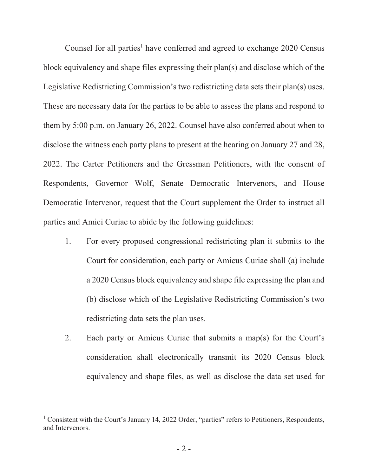Counsel for all parties<sup>1</sup> have conferred and agreed to exchange 2020 Census block equivalency and shape files expressing their plan(s) and disclose which of the Legislative Redistricting Commission's two redistricting data sets their plan(s) uses. These are necessary data for the parties to be able to assess the plans and respond to them by 5:00 p.m. on January 26, 2022. Counsel have also conferred about when to disclose the witness each party plans to present at the hearing on January 27 and 28, 2022. The Carter Petitioners and the Gressman Petitioners, with the consent of Respondents, Governor Wolf, Senate Democratic Intervenors, and House Democratic Intervenor, request that the Court supplement the Order to instruct all parties and Amici Curiae to abide by the following guidelines:

- 1. For every proposed congressional redistricting plan it submits to the Court for consideration, each party or Amicus Curiae shall (a) include a 2020 Census block equivalency and shape file expressing the plan and (b) disclose which of the Legislative Redistricting Commission's two redistricting data sets the plan uses.
- 2. Each party or Amicus Curiae that submits a map(s) for the Court's consideration shall electronically transmit its 2020 Census block equivalency and shape files, as well as disclose the data set used for

<sup>&</sup>lt;sup>1</sup> Consistent with the Court's January 14, 2022 Order, "parties" refers to Petitioners, Respondents, and Intervenors.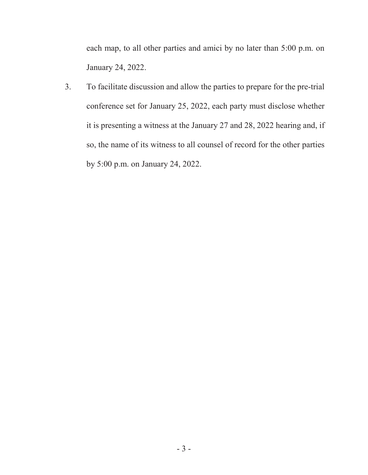each map, to all other parties and amici by no later than 5:00 p.m. on January 24, 2022.

3. To facilitate discussion and allow the parties to prepare for the pre-trial conference set for January 25, 2022, each party must disclose whether it is presenting a witness at the January 27 and 28, 2022 hearing and, if so, the name of its witness to all counsel of record for the other parties by 5:00 p.m. on January 24, 2022.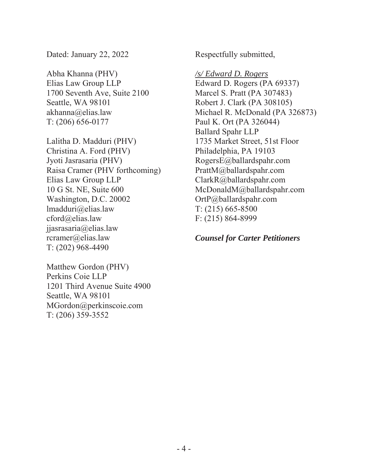Dated: January 22, 2022

Abha Khanna (PHV) Elias Law Group LLP 1700 Seventh Ave, Suite 2100 Seattle, WA 98101 akhanna@elias.law T: (206) 656-0177

Lalitha D. Madduri (PHV) Christina A. Ford (PHV) Jyoti Jasrasaria (PHV) Raisa Cramer (PHV forthcoming) Elias Law Group LLP 10 G St. NE, Suite 600 Washington, D.C. 20002 lmadduri@elias.law cford@elias.law jjasrasaria@elias.law rcramer@elias.law T: (202) 968-4490

Matthew Gordon (PHV) Perkins Coie LLP 1201 Third Avenue Suite 4900 Seattle, WA 98101 MGordon@perkinscoie.com T: (206) 359-3552

Respectfully submitted,

*/s/ Edward D. Rogers* Edward D. Rogers (PA 69337) Marcel S. Pratt (PA 307483) Robert J. Clark (PA 308105) Michael R. McDonald (PA 326873) Paul K. Ort (PA 326044) Ballard Spahr LLP 1735 Market Street, 51st Floor Philadelphia, PA 19103 RogersE@ballardspahr.com PrattM@ballardspahr.com ClarkR@ballardspahr.com McDonaldM@ballardspahr.com OrtP@ballardspahr.com T: (215) 665-8500 F: (215) 864-8999

*Counsel for Carter Petitioners*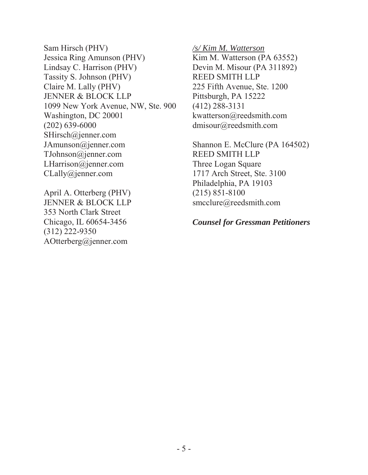Sam Hirsch (PHV) Jessica Ring Amunson (PHV) Lindsay C. Harrison (PHV) Tassity S. Johnson (PHV) Claire M. Lally (PHV) JENNER & BLOCK LLP 1099 New York Avenue, NW, Ste. 900 Washington, DC 20001 (202) 639-6000 SHirsch@jenner.com JAmunson@jenner.com TJohnson@jenner.com LHarrison@jenner.com CLally@jenner.com

April A. Otterberg (PHV) JENNER & BLOCK LLP 353 North Clark Street Chicago, IL 60654-3456 (312) 222-9350 AOtterberg@jenner.com

*/s/ Kim M. Watterson*

Kim M. Watterson (PA 63552) Devin M. Misour (PA 311892) REED SMITH LLP 225 Fifth Avenue, Ste. 1200 Pittsburgh, PA 15222 (412) 288-3131 kwatterson@reedsmith.com dmisour@reedsmith.com

Shannon E. McClure (PA 164502) REED SMITH LLP Three Logan Square 1717 Arch Street, Ste. 3100 Philadelphia, PA 19103 (215) 851-8100 smcclure@reedsmith.com

*Counsel for Gressman Petitioners*